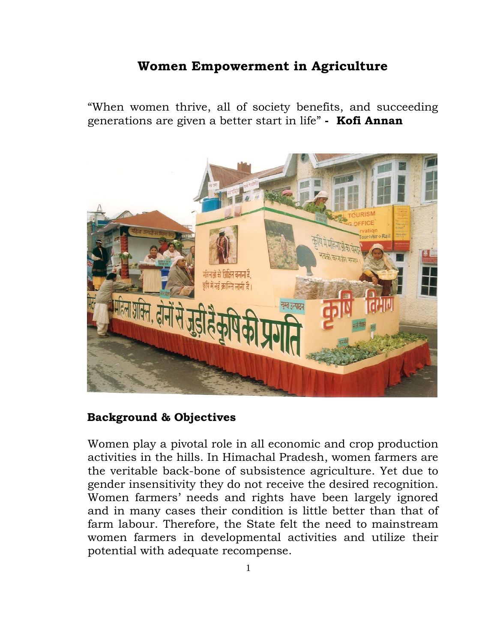## **Women Empowerment in Agriculture**

"When women thrive, all of society benefits, and succeeding generations are given a better start in life" **- Kofi Annan**



## **Background & Objectives**

Women play a pivotal role in all economic and crop production activities in the hills. In Himachal Pradesh, women farmers are the veritable back-bone of subsistence agriculture. Yet due to gender insensitivity they do not receive the desired recognition. Women farmers' needs and rights have been largely ignored and in many cases their condition is little better than that of farm labour. Therefore, the State felt the need to mainstream women farmers in developmental activities and utilize their potential with adequate recompense.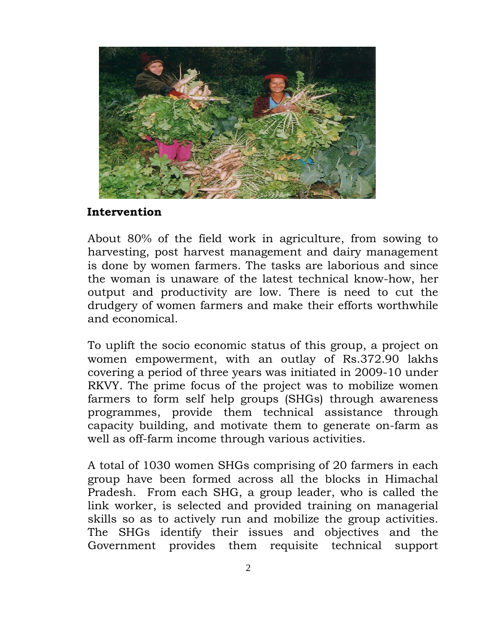

## **Intervention**

About 80% of the field work in agriculture, from sowing to harvesting, post harvest management and dairy management is done by women farmers. The tasks are laborious and since the woman is unaware of the latest technical know-how, her output and productivity are low. There is need to cut the drudgery of women farmers and make their efforts worthwhile and economical.

To uplift the socio economic status of this group, a project on women empowerment, with an outlay of Rs.372.90 lakhs covering a period of three years was initiated in 2009-10 under RKVY. The prime focus of the project was to mobilize women farmers to form self help groups (SHGs) through awareness programmes, provide them technical assistance through capacity building, and motivate them to generate on-farm as well as off-farm income through various activities.

A total of 1030 women SHGs comprising of 20 farmers in each group have been formed across all the blocks in Himachal Pradesh. From each SHG, a group leader, who is called the link worker, is selected and provided training on managerial skills so as to actively run and mobilize the group activities. The SHGs identify their issues and objectives and the Government provides them requisite technical support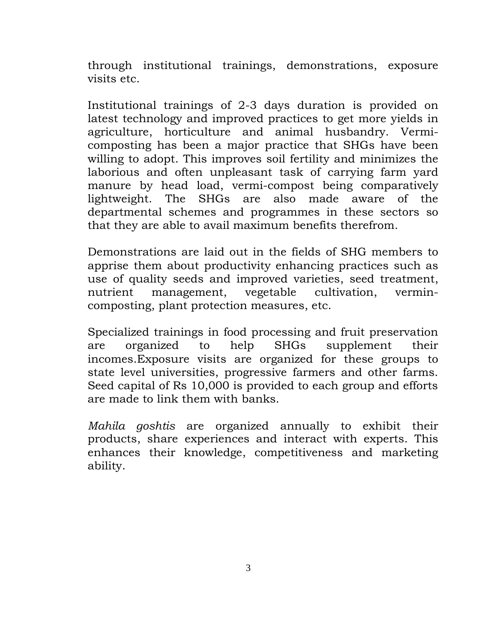through institutional trainings, demonstrations, exposure visits etc.

Institutional trainings of 2-3 days duration is provided on latest technology and improved practices to get more yields in agriculture, horticulture and animal husbandry. Vermicomposting has been a major practice that SHGs have been willing to adopt. This improves soil fertility and minimizes the laborious and often unpleasant task of carrying farm yard manure by head load, vermi-compost being comparatively lightweight. The SHGs are also made aware of the departmental schemes and programmes in these sectors so that they are able to avail maximum benefits therefrom.

Demonstrations are laid out in the fields of SHG members to apprise them about productivity enhancing practices such as use of quality seeds and improved varieties, seed treatment, nutrient management, vegetable cultivation, vermincomposting, plant protection measures, etc.

Specialized trainings in food processing and fruit preservation are organized to help SHGs supplement their incomes.Exposure visits are organized for these groups to state level universities, progressive farmers and other farms. Seed capital of Rs 10,000 is provided to each group and efforts are made to link them with banks.

*Mahila goshtis* are organized annually to exhibit their products, share experiences and interact with experts. This enhances their knowledge, competitiveness and marketing ability.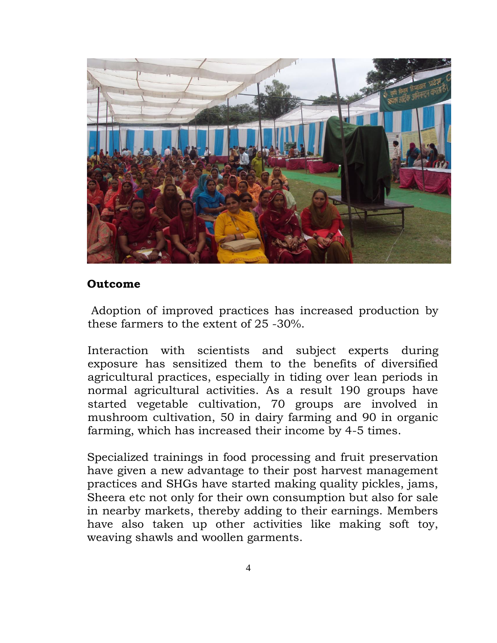

## **Outcome**

Adoption of improved practices has increased production by these farmers to the extent of 25 -30%.

Interaction with scientists and subject experts during exposure has sensitized them to the benefits of diversified agricultural practices, especially in tiding over lean periods in normal agricultural activities. As a result 190 groups have started vegetable cultivation, 70 groups are involved in mushroom cultivation, 50 in dairy farming and 90 in organic farming, which has increased their income by 4-5 times.

Specialized trainings in food processing and fruit preservation have given a new advantage to their post harvest management practices and SHGs have started making quality pickles, jams, Sheera etc not only for their own consumption but also for sale in nearby markets, thereby adding to their earnings. Members have also taken up other activities like making soft toy, weaving shawls and woollen garments.